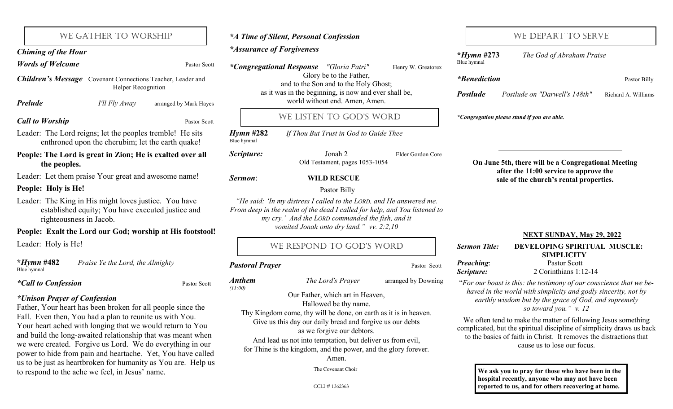| <i>*Congregational Response</i> | "Gloria Patri"          | Henry W. Greatorex |
|---------------------------------|-------------------------|--------------------|
|                                 | Glory be to the Father, |                    |

*\*A Time of Silent, Personal Confession*

and to the Son and to the Holy Ghost; as it was in the beginning, is now and ever shall be, **Prelude** *I'll Fly Away* arranged by Mark Hayes world without end. Amen, Amen.

# WE LISTEN TO GOD'S WORD

*Hymn* **#282** *If Thou But Trust in God to Guide Thee* Blue hymnal

**Scripture:** Jonah 2 Elder Gordon Core Old Testament, pages 1053-1054

### *Sermon*: **WILD RESCUE**

### Pastor Billy

*"He said: "In my distress I called to the LORD, and He answered me. From deep in the realm of the dead I called for help, and You listened to my cry." And the LORD commanded the fish, and it vomited Jonah onto dry land." vv. 2:2,10*

# WE RESPOND TO GOD'S WORD

### **Pastoral Prayer Pastor Scott** Pastor Scott

*Anthem**The Lord's Prayer* arranged by Downing

### Our Father, which art in Heaven,

Hallowed be thy name.

Thy Kingdom come, thy will be done, on earth as it is in heaven. Give us this day our daily bread and forgive us our debts as we forgive our debtors.

And lead us not into temptation, but deliver us from evil,

for Thine is the kingdom, and the power, and the glory forever.

Amen.

The Covenant Choir

CCLI # 1362363

# WE DEPART TO SERVE

**\****Hymn* **#273** *The God of Abraham Praise* Blue hymnal *\*Benediction* Pastor Billy *Postlude Postlude on "Darwell's 148th"* Richard A. Williams *\*Congregation please stand if you are able.*  **NEXT SUNDAY, May 29, 2022**  *Sermon Title:* **DEVELOPING SPIRITUAL MUSCLE: SIMPLICITY** *Preaching*: Pastor Scott *Scripture:* 2 Corinthians 1:12-14 "*For our boast is this: the testimony of our conscience that we behaved in the world with simplicity and godly sincerity, not by earthly wisdom but by the grace of God, and supremely*  **On June 5th, there will be a Congregational Meeting after the 11:00 service to approve the sale of the church's rental properties.**

*so toward you." v. 12*

We often tend to make the matter of following Jesus something complicated, but the spiritual discipline of simplicity draws us back to the basics of faith in Christ. It removes the distractions that cause us to lose our focus.

> **We ask you to pray for those who have been in the hospital recently, anyone who may not have been reported to us, and for others recovering at home.**

# *\*Assurance of Forgiveness Chiming of the Hour*

*Words of Welcome* Pastor Scott

*Children's Message* Covenant Connections Teacher, Leader and Helper Recognition

WE GATHER TO WORSHIP

 *I'll Fly Away* arranged by Mark Hayes

*Call to Worship* **Pastor Scott Pastor Scott** 

Leader: The Lord reigns; let the peoples tremble! He sits enthroned upon the cherubim; let the earth quake!

**People: The Lord is great in Zion; He is exalted over all the peoples.**

Leader: Let them praise Your great and awesome name!

### **People: Holy is He!**

Leader: The King in His might loves justice. You have established equity; You have executed justice and righteousness in Jacob.

### **People: Exalt the Lord our God; worship at His footstool!**

Leader: Holy is He!

**\****Hymn* **#482** *Praise Ye the Lord, the Almighty* Blue hymnal

*\*Unison Prayer of Confession* 

Father, Your heart has been broken for all people since the Fall. Even then, You had a plan to reunite us with You. Your heart ached with longing that we would return to You and build the long-awaited relationship that was meant when we were created. Forgive us Lord. We do everything in our power to hide from pain and heartache. Yet, You have called us to be just as heartbroken for humanity as You are. Help us to respond to the ache we feel, in Jesus' name.

# *\*Call to Confession*

*(11:00)*